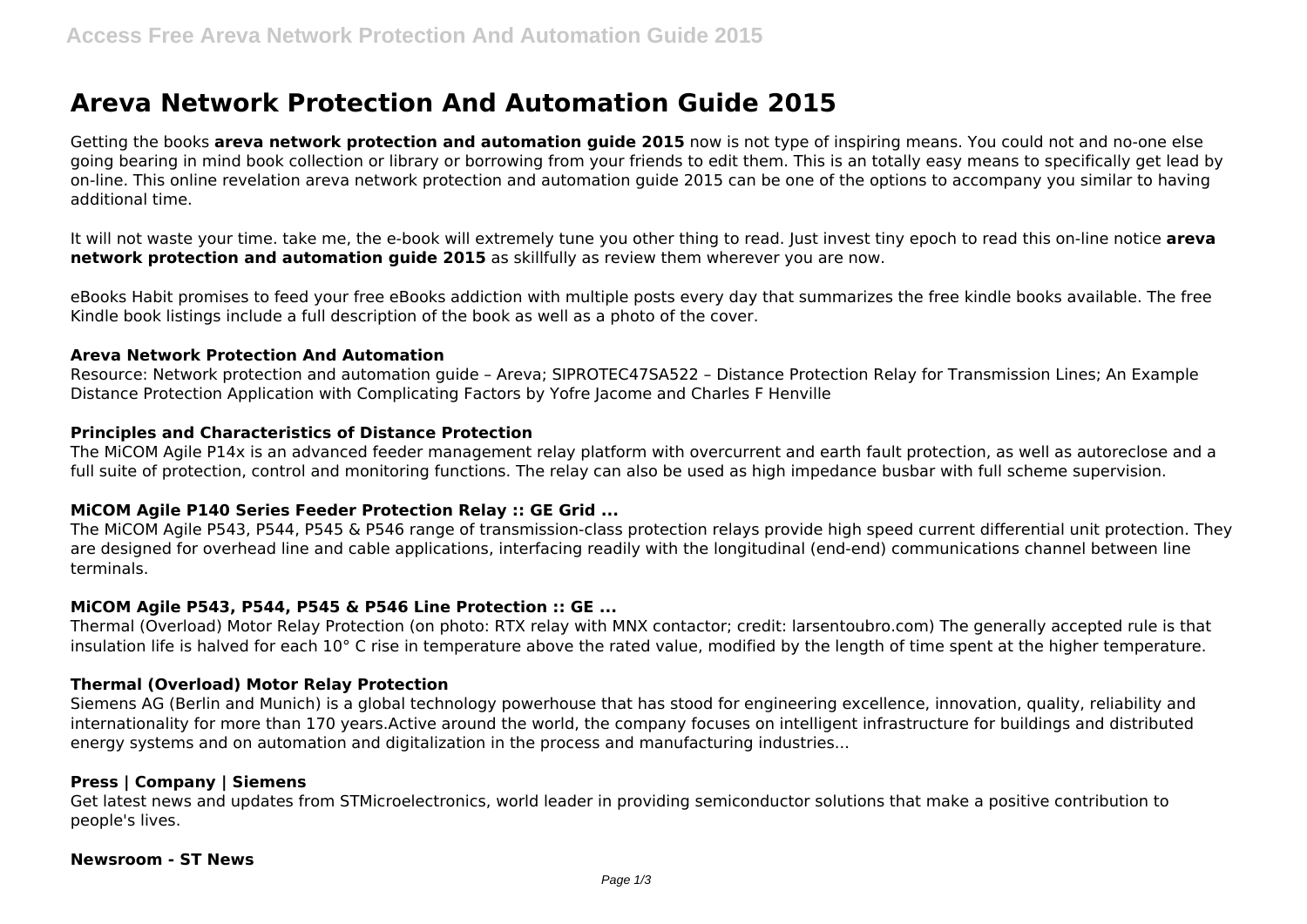# **Areva Network Protection And Automation Guide 2015**

Getting the books **areva network protection and automation guide 2015** now is not type of inspiring means. You could not and no-one else going bearing in mind book collection or library or borrowing from your friends to edit them. This is an totally easy means to specifically get lead by on-line. This online revelation areva network protection and automation guide 2015 can be one of the options to accompany you similar to having additional time.

It will not waste your time. take me, the e-book will extremely tune you other thing to read. Just invest tiny epoch to read this on-line notice **areva network protection and automation guide 2015** as skillfully as review them wherever you are now.

eBooks Habit promises to feed your free eBooks addiction with multiple posts every day that summarizes the free kindle books available. The free Kindle book listings include a full description of the book as well as a photo of the cover.

## **Areva Network Protection And Automation**

Resource: Network protection and automation guide – Areva; SIPROTEC47SA522 – Distance Protection Relay for Transmission Lines; An Example Distance Protection Application with Complicating Factors by Yofre Jacome and Charles F Henville

## **Principles and Characteristics of Distance Protection**

The MiCOM Agile P14x is an advanced feeder management relay platform with overcurrent and earth fault protection, as well as autoreclose and a full suite of protection, control and monitoring functions. The relay can also be used as high impedance busbar with full scheme supervision.

## **MiCOM Agile P140 Series Feeder Protection Relay :: GE Grid ...**

The MiCOM Agile P543, P544, P545 & P546 range of transmission-class protection relays provide high speed current differential unit protection. They are designed for overhead line and cable applications, interfacing readily with the longitudinal (end-end) communications channel between line terminals.

## **MiCOM Agile P543, P544, P545 & P546 Line Protection :: GE ...**

Thermal (Overload) Motor Relay Protection (on photo: RTX relay with MNX contactor; credit: larsentoubro.com) The generally accepted rule is that insulation life is halved for each 10° C rise in temperature above the rated value, modified by the length of time spent at the higher temperature.

## **Thermal (Overload) Motor Relay Protection**

Siemens AG (Berlin and Munich) is a global technology powerhouse that has stood for engineering excellence, innovation, quality, reliability and internationality for more than 170 years.Active around the world, the company focuses on intelligent infrastructure for buildings and distributed energy systems and on automation and digitalization in the process and manufacturing industries...

#### **Press | Company | Siemens**

Get latest news and updates from STMicroelectronics, world leader in providing semiconductor solutions that make a positive contribution to people's lives.

#### **Newsroom - ST News**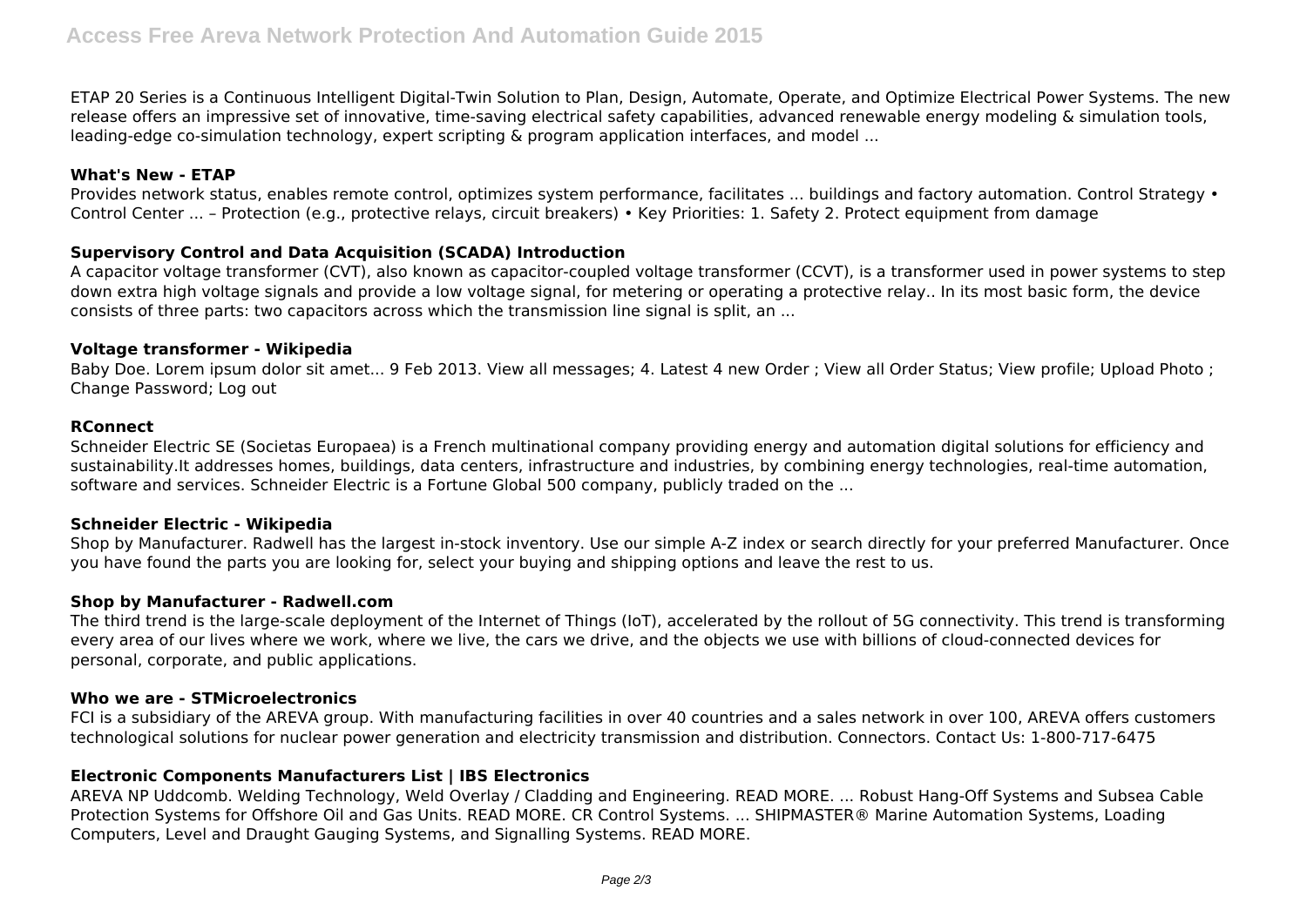ETAP 20 Series is a Continuous Intelligent Digital-Twin Solution to Plan, Design, Automate, Operate, and Optimize Electrical Power Systems. The new release offers an impressive set of innovative, time-saving electrical safety capabilities, advanced renewable energy modeling & simulation tools, leading-edge co-simulation technology, expert scripting & program application interfaces, and model ...

# **What's New - ETAP**

Provides network status, enables remote control, optimizes system performance, facilitates ... buildings and factory automation. Control Strategy • Control Center ... – Protection (e.g., protective relays, circuit breakers) • Key Priorities: 1. Safety 2. Protect equipment from damage

## **Supervisory Control and Data Acquisition (SCADA) Introduction**

A capacitor voltage transformer (CVT), also known as capacitor-coupled voltage transformer (CCVT), is a transformer used in power systems to step down extra high voltage signals and provide a low voltage signal, for metering or operating a protective relay.. In its most basic form, the device consists of three parts: two capacitors across which the transmission line signal is split, an ...

#### **Voltage transformer - Wikipedia**

Baby Doe. Lorem ipsum dolor sit amet... 9 Feb 2013. View all messages; 4. Latest 4 new Order ; View all Order Status; View profile; Upload Photo ; Change Password; Log out

## **RConnect**

Schneider Electric SE (Societas Europaea) is a French multinational company providing energy and automation digital solutions for efficiency and sustainability.It addresses homes, buildings, data centers, infrastructure and industries, by combining energy technologies, real-time automation, software and services. Schneider Electric is a Fortune Global 500 company, publicly traded on the ...

## **Schneider Electric - Wikipedia**

Shop by Manufacturer. Radwell has the largest in-stock inventory. Use our simple A-Z index or search directly for your preferred Manufacturer. Once you have found the parts you are looking for, select your buying and shipping options and leave the rest to us.

## **Shop by Manufacturer - Radwell.com**

The third trend is the large-scale deployment of the Internet of Things (IoT), accelerated by the rollout of 5G connectivity. This trend is transforming every area of our lives where we work, where we live, the cars we drive, and the objects we use with billions of cloud-connected devices for personal, corporate, and public applications.

## **Who we are - STMicroelectronics**

FCI is a subsidiary of the AREVA group. With manufacturing facilities in over 40 countries and a sales network in over 100, AREVA offers customers technological solutions for nuclear power generation and electricity transmission and distribution. Connectors. Contact Us: 1-800-717-6475

## **Electronic Components Manufacturers List | IBS Electronics**

AREVA NP Uddcomb. Welding Technology, Weld Overlay / Cladding and Engineering. READ MORE. ... Robust Hang-Off Systems and Subsea Cable Protection Systems for Offshore Oil and Gas Units. READ MORE. CR Control Systems. ... SHIPMASTER® Marine Automation Systems, Loading Computers, Level and Draught Gauging Systems, and Signalling Systems. READ MORE.